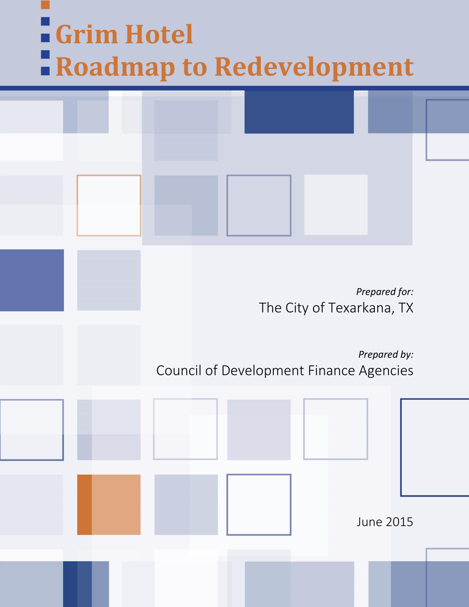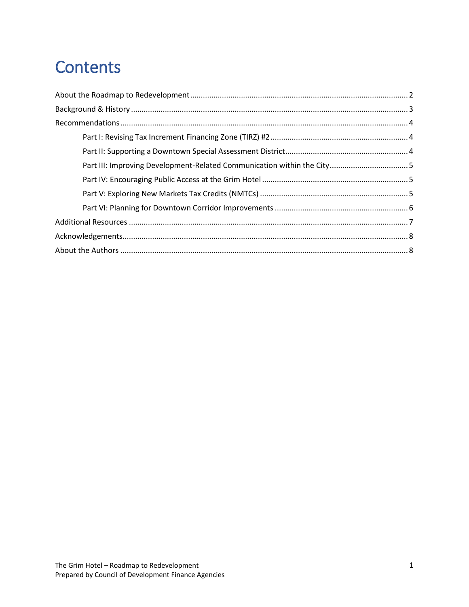## **Contents**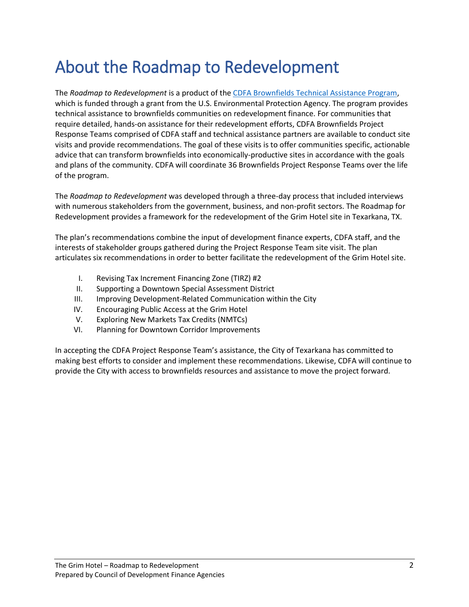## <span id="page-2-0"></span>About the Roadmap to Redevelopment

The *Roadmap to Redevelopment* is a product of the [CDFA Brownfields Technical Assistance Program,](http://www.cdfa.net/cdfa/cdfaweb.nsf/0/AE4DCA6EF6C10A3788257D7000567D43#top) which is funded through a grant from the U.S. Environmental Protection Agency. The program provides technical assistance to brownfields communities on redevelopment finance. For communities that require detailed, hands-on assistance for their redevelopment efforts, CDFA Brownfields Project Response Teams comprised of CDFA staff and technical assistance partners are available to conduct site visits and provide recommendations. The goal of these visits is to offer communities specific, actionable advice that can transform brownfields into economically-productive sites in accordance with the goals and plans of the community. CDFA will coordinate 36 Brownfields Project Response Teams over the life of the program.

The *Roadmap to Redevelopment* was developed through a three-day process that included interviews with numerous stakeholders from the government, business, and non-profit sectors. The Roadmap for Redevelopment provides a framework for the redevelopment of the Grim Hotel site in Texarkana, TX.

The plan's recommendations combine the input of development finance experts, CDFA staff, and the interests of stakeholder groups gathered during the Project Response Team site visit. The plan articulates six recommendations in order to better facilitate the redevelopment of the Grim Hotel site.

- I. Revising Tax Increment Financing Zone (TIRZ) #2
- II. Supporting a Downtown Special Assessment District
- III. Improving Development-Related Communication within the City
- IV. Encouraging Public Access at the Grim Hotel
- V. Exploring New Markets Tax Credits (NMTCs)
- VI. Planning for Downtown Corridor Improvements

In accepting the CDFA Project Response Team's assistance, the City of Texarkana has committed to making best efforts to consider and implement these recommendations. Likewise, CDFA will continue to provide the City with access to brownfields resources and assistance to move the project forward.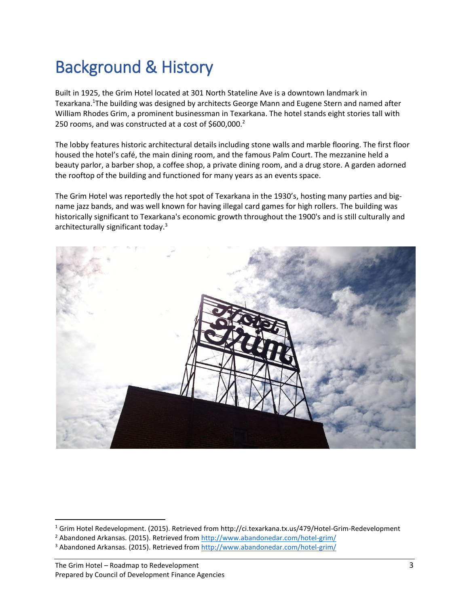## <span id="page-3-0"></span>Background & History

Built in 1925, the Grim Hotel located at 301 North Stateline Ave is a downtown landmark in Texarkana.<sup>1</sup>The building was designed by architects George Mann and Eugene Stern and named after William Rhodes Grim, a prominent businessman in Texarkana. The hotel stands eight stories tall with 250 rooms, and was constructed at a cost of \$600,000. $^2$ 

The lobby features historic architectural details including stone walls and marble flooring. The first floor housed the hotel's café, the main dining room, and the famous Palm Court. The mezzanine held a beauty parlor, a barber shop, a coffee shop, a private dining room, and a drug store. A garden adorned the rooftop of the building and functioned for many years as an events space.

The Grim Hotel was reportedly the hot spot of Texarkana in the 1930's, hosting many parties and bigname jazz bands, and was well known for having illegal card games for high rollers. The building was historically significant to Texarkana's economic growth throughout the 1900's and is still culturally and architecturally significant today.<sup>3</sup>



 $\overline{\phantom{a}}$ 

<sup>1</sup> Grim Hotel Redevelopment. (2015). Retrieved from http://ci.texarkana.tx.us/479/Hotel-Grim-Redevelopment

<sup>&</sup>lt;sup>2</sup> Abandoned Arkansas. (2015). Retrieved from<http://www.abandonedar.com/hotel-grim/>

<sup>3</sup> Abandoned Arkansas. (2015). Retrieved from<http://www.abandonedar.com/hotel-grim/>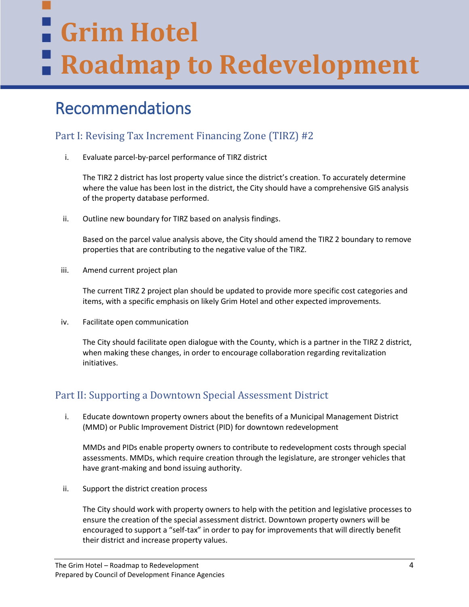# **Grim Hotel Roadmap to Redevelopment**

### <span id="page-4-0"></span>Recommendations

### <span id="page-4-1"></span>Part I: Revising Tax Increment Financing Zone (TIRZ) #2

i. Evaluate parcel-by-parcel performance of TIRZ district

The TIRZ 2 district has lost property value since the district's creation. To accurately determine where the value has been lost in the district, the City should have a comprehensive GIS analysis of the property database performed.

ii. Outline new boundary for TIRZ based on analysis findings.

Based on the parcel value analysis above, the City should amend the TIRZ 2 boundary to remove properties that are contributing to the negative value of the TIRZ.

iii. Amend current project plan

The current TIRZ 2 project plan should be updated to provide more specific cost categories and items, with a specific emphasis on likely Grim Hotel and other expected improvements.

iv. Facilitate open communication

The City should facilitate open dialogue with the County, which is a partner in the TIRZ 2 district, when making these changes, in order to encourage collaboration regarding revitalization initiatives.

### <span id="page-4-2"></span>Part II: Supporting a Downtown Special Assessment District

i. Educate downtown property owners about the benefits of a Municipal Management District (MMD) or Public Improvement District (PID) for downtown redevelopment

MMDs and PIDs enable property owners to contribute to redevelopment costs through special assessments. MMDs, which require creation through the legislature, are stronger vehicles that have grant-making and bond issuing authority.

ii. Support the district creation process

The City should work with property owners to help with the petition and legislative processes to ensure the creation of the special assessment district. Downtown property owners will be encouraged to support a "self-tax" in order to pay for improvements that will directly benefit their district and increase property values.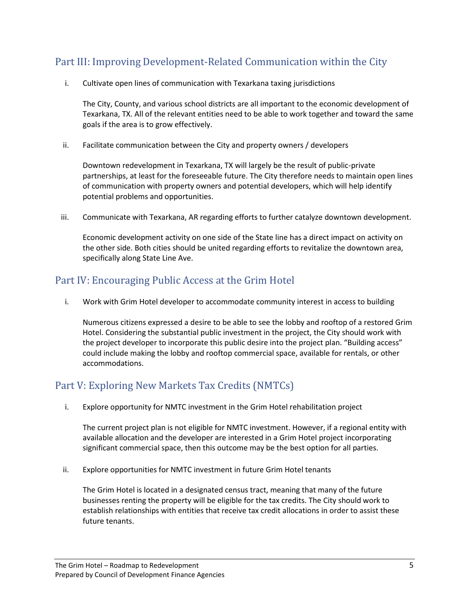### <span id="page-5-0"></span>Part III: Improving Development-Related Communication within the City

i. Cultivate open lines of communication with Texarkana taxing jurisdictions

The City, County, and various school districts are all important to the economic development of Texarkana, TX. All of the relevant entities need to be able to work together and toward the same goals if the area is to grow effectively.

ii. Facilitate communication between the City and property owners / developers

Downtown redevelopment in Texarkana, TX will largely be the result of public-private partnerships, at least for the foreseeable future. The City therefore needs to maintain open lines of communication with property owners and potential developers, which will help identify potential problems and opportunities.

iii. Communicate with Texarkana, AR regarding efforts to further catalyze downtown development.

Economic development activity on one side of the State line has a direct impact on activity on the other side. Both cities should be united regarding efforts to revitalize the downtown area, specifically along State Line Ave.

#### <span id="page-5-1"></span>Part IV: Encouraging Public Access at the Grim Hotel

i. Work with Grim Hotel developer to accommodate community interest in access to building

Numerous citizens expressed a desire to be able to see the lobby and rooftop of a restored Grim Hotel. Considering the substantial public investment in the project, the City should work with the project developer to incorporate this public desire into the project plan. "Building access" could include making the lobby and rooftop commercial space, available for rentals, or other accommodations.

#### <span id="page-5-2"></span>Part V: Exploring New Markets Tax Credits (NMTCs)

i. Explore opportunity for NMTC investment in the Grim Hotel rehabilitation project

The current project plan is not eligible for NMTC investment. However, if a regional entity with available allocation and the developer are interested in a Grim Hotel project incorporating significant commercial space, then this outcome may be the best option for all parties.

ii. Explore opportunities for NMTC investment in future Grim Hotel tenants

The Grim Hotel is located in a designated census tract, meaning that many of the future businesses renting the property will be eligible for the tax credits. The City should work to establish relationships with entities that receive tax credit allocations in order to assist these future tenants.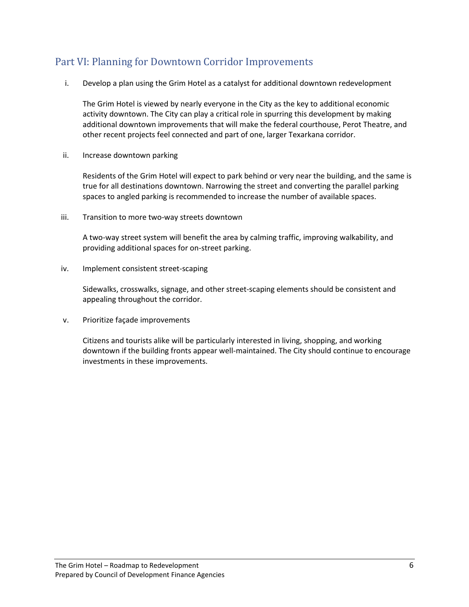#### <span id="page-6-0"></span>Part VI: Planning for Downtown Corridor Improvements

i. Develop a plan using the Grim Hotel as a catalyst for additional downtown redevelopment

The Grim Hotel is viewed by nearly everyone in the City as the key to additional economic activity downtown. The City can play a critical role in spurring this development by making additional downtown improvements that will make the federal courthouse, Perot Theatre, and other recent projects feel connected and part of one, larger Texarkana corridor.

ii. Increase downtown parking

Residents of the Grim Hotel will expect to park behind or very near the building, and the same is true for all destinations downtown. Narrowing the street and converting the parallel parking spaces to angled parking is recommended to increase the number of available spaces.

iii. Transition to more two-way streets downtown

A two-way street system will benefit the area by calming traffic, improving walkability, and providing additional spaces for on-street parking.

iv. Implement consistent street-scaping

Sidewalks, crosswalks, signage, and other street-scaping elements should be consistent and appealing throughout the corridor.

v. Prioritize façade improvements

Citizens and tourists alike will be particularly interested in living, shopping, and working downtown if the building fronts appear well-maintained. The City should continue to encourage investments in these improvements.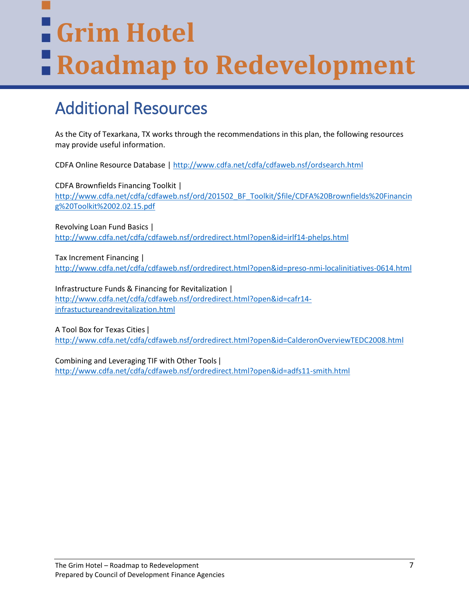# **Grim Hotel Roadmap to Redevelopment**

## <span id="page-7-0"></span>Additional Resources

As the City of Texarkana, TX works through the recommendations in this plan, the following resources may provide useful information.

CDFA Online Resource Database |<http://www.cdfa.net/cdfa/cdfaweb.nsf/ordsearch.html>

CDFA Brownfields Financing Toolkit | [http://www.cdfa.net/cdfa/cdfaweb.nsf/ord/201502\\_BF\\_Toolkit/\\$file/CDFA%20Brownfields%20Financin](http://www.cdfa.net/cdfa/cdfaweb.nsf/ord/201502_BF_Toolkit/$file/CDFA%20Brownfields%20Financing%20Toolkit%2002.02.15.pdf) [g%20Toolkit%2002.02.15.pdf](http://www.cdfa.net/cdfa/cdfaweb.nsf/ord/201502_BF_Toolkit/$file/CDFA%20Brownfields%20Financing%20Toolkit%2002.02.15.pdf)

Revolving Loan Fund Basics | <http://www.cdfa.net/cdfa/cdfaweb.nsf/ordredirect.html?open&id=irlf14-phelps.html>

Tax Increment Financing | <http://www.cdfa.net/cdfa/cdfaweb.nsf/ordredirect.html?open&id=preso-nmi-localinitiatives-0614.html>

Infrastructure Funds & Financing for Revitalization | [http://www.cdfa.net/cdfa/cdfaweb.nsf/ordredirect.html?open&id=cafr14](http://www.cdfa.net/cdfa/cdfaweb.nsf/ordredirect.html?open&id=cafr14-infrastuctureandrevitalization.html) [infrastuctureandrevitalization.html](http://www.cdfa.net/cdfa/cdfaweb.nsf/ordredirect.html?open&id=cafr14-infrastuctureandrevitalization.html)

A Tool Box for Texas Cities ǀ <http://www.cdfa.net/cdfa/cdfaweb.nsf/ordredirect.html?open&id=CalderonOverviewTEDC2008.html>

Combining and Leveraging TIF with Other Tools ǀ <http://www.cdfa.net/cdfa/cdfaweb.nsf/ordredirect.html?open&id=adfs11-smith.html>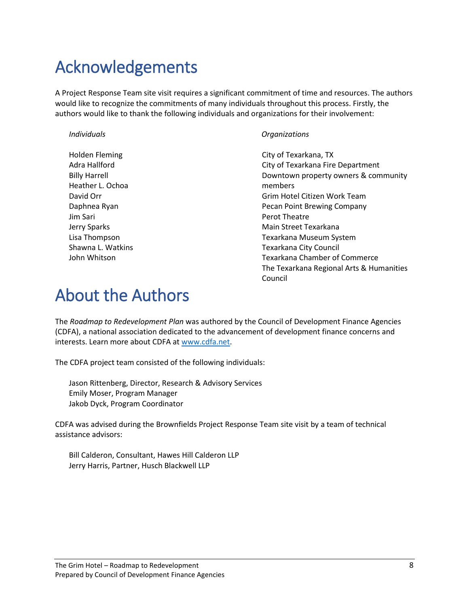## <span id="page-8-0"></span>Acknowledgements

A Project Response Team site visit requires a significant commitment of time and resources. The authors would like to recognize the commitments of many individuals throughout this process. Firstly, the authors would like to thank the following individuals and organizations for their involvement:

Holden Fleming Adra Hallford Billy Harrell Heather L. Ochoa David Orr Daphnea Ryan Jim Sari Jerry Sparks Lisa Thompson Shawna L. Watkins John Whitson

#### *Individuals Organizations*

<span id="page-8-1"></span>City of Texarkana, TX City of Texarkana Fire Department Downtown property owners & community members Grim Hotel Citizen Work Team Pecan Point Brewing Company Perot Theatre Main Street Texarkana Texarkana Museum System Texarkana City Council Texarkana Chamber of Commerce The Texarkana Regional Arts & Humanities Council

## About the Authors

The *Roadmap to Redevelopment Plan* was authored by the Council of Development Finance Agencies (CDFA), a national association dedicated to the advancement of development finance concerns and interests. Learn more about CDFA at [www.cdfa.net.](http://www.cdfa.net/)

The CDFA project team consisted of the following individuals:

Jason Rittenberg, Director, Research & Advisory Services Emily Moser, Program Manager Jakob Dyck, Program Coordinator

CDFA was advised during the Brownfields Project Response Team site visit by a team of technical assistance advisors:

Bill Calderon, Consultant, Hawes Hill Calderon LLP Jerry Harris, Partner, Husch Blackwell LLP